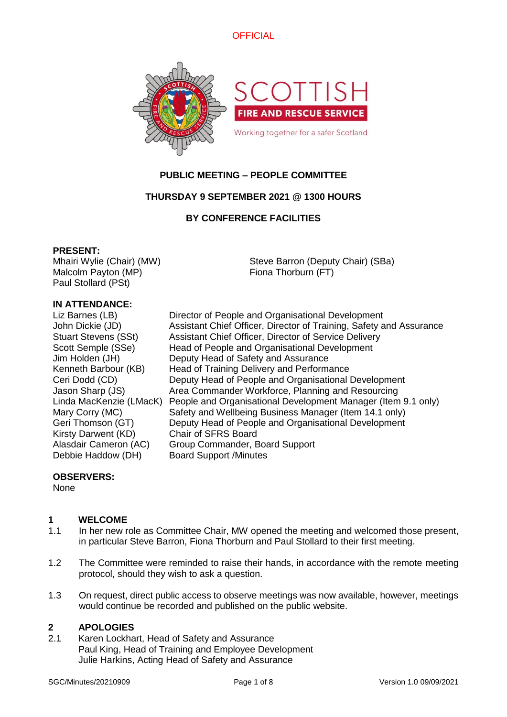



# **PUBLIC MEETING – PEOPLE COMMITTEE**

# **THURSDAY 9 SEPTEMBER 2021 @ 1300 HOURS**

# **BY CONFERENCE FACILITIES**

#### **PRESENT:**

Mhairi Wylie (Chair) (MW) Malcolm Payton (MP) Paul Stollard (PSt)

Steve Barron (Deputy Chair) (SBa) Fiona Thorburn (FT)

# **IN ATTENDANCE:**

Kirsty Darwent (KD) Chair of SFRS Board Debbie Haddow (DH) Board Support /Minutes

Liz Barnes (LB) Director of People and Organisational Development John Dickie (JD) Assistant Chief Officer, Director of Training, Safety and Assurance Stuart Stevens (SSt) Assistant Chief Officer, Director of Service Delivery Scott Semple (SSe) Head of People and Organisational Development Jim Holden (JH) Deputy Head of Safety and Assurance Kenneth Barbour (KB) Head of Training Delivery and Performance Ceri Dodd (CD) Deputy Head of People and Organisational Development Jason Sharp (JS) Area Commander Workforce, Planning and Resourcing Linda MacKenzie (LMacK) People and Organisational Development Manager (Item 9.1 only) Mary Corry (MC) Safety and Wellbeing Business Manager (Item 14.1 only) Geri Thomson (GT) Deputy Head of People and Organisational Development Alasdair Cameron (AC) Group Commander, Board Support

#### **OBSERVERS:**

None

#### **1 WELCOME**

- 1.1 In her new role as Committee Chair, MW opened the meeting and welcomed those present, in particular Steve Barron, Fiona Thorburn and Paul Stollard to their first meeting.
- 1.2 The Committee were reminded to raise their hands, in accordance with the remote meeting protocol, should they wish to ask a question.
- 1.3 On request, direct public access to observe meetings was now available, however, meetings would continue be recorded and published on the public website.

#### **2 APOLOGIES**

2.1 Karen Lockhart, Head of Safety and Assurance Paul King, Head of Training and Employee Development Julie Harkins, Acting Head of Safety and Assurance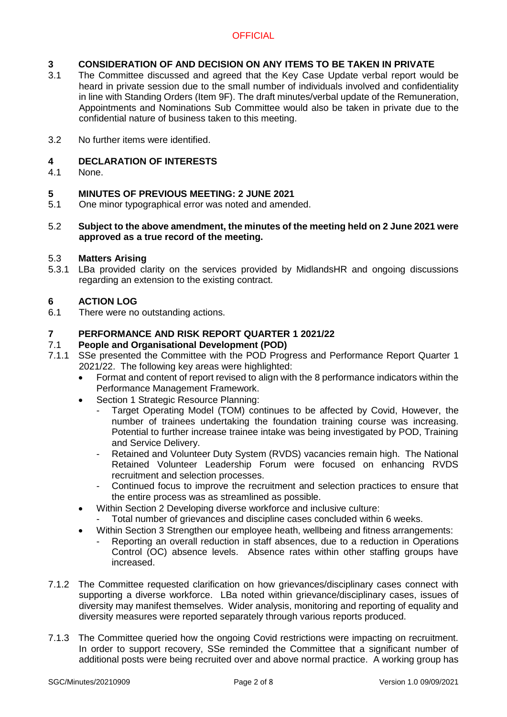# **3 CONSIDERATION OF AND DECISION ON ANY ITEMS TO BE TAKEN IN PRIVATE**<br>3.1 The Committee discussed and agreed that the Key Case Update verbal report wou

- The Committee discussed and agreed that the Key Case Update verbal report would be heard in private session due to the small number of individuals involved and confidentiality in line with Standing Orders (Item 9F). The draft minutes/verbal update of the Remuneration, Appointments and Nominations Sub Committee would also be taken in private due to the confidential nature of business taken to this meeting.
- 3.2 No further items were identified.

# **4 DECLARATION OF INTERESTS**

None.

#### **5 MINUTES OF PREVIOUS MEETING: 2 JUNE 2021**

- 5.1 One minor typographical error was noted and amended.
- 5.2 **Subject to the above amendment, the minutes of the meeting held on 2 June 2021 were approved as a true record of the meeting.**

#### 5.3 **Matters Arising**

5.3.1 LBa provided clarity on the services provided by MidlandsHR and ongoing discussions regarding an extension to the existing contract.

# **6 ACTION LOG**

There were no outstanding actions.

## **7 PERFORMANCE AND RISK REPORT QUARTER 1 2021/22**

#### 7.1 **People and Organisational Development (POD)**

- 7.1.1 SSe presented the Committee with the POD Progress and Performance Report Quarter 1 2021/22. The following key areas were highlighted:
	- Format and content of report revised to align with the 8 performance indicators within the Performance Management Framework.
	- Section 1 Strategic Resource Planning:
		- Target Operating Model (TOM) continues to be affected by Covid, However, the number of trainees undertaking the foundation training course was increasing. Potential to further increase trainee intake was being investigated by POD, Training and Service Delivery.
		- Retained and Volunteer Duty System (RVDS) vacancies remain high. The National Retained Volunteer Leadership Forum were focused on enhancing RVDS recruitment and selection processes.
		- Continued focus to improve the recruitment and selection practices to ensure that the entire process was as streamlined as possible.
	- Within Section 2 Developing diverse workforce and inclusive culture:
		- Total number of grievances and discipline cases concluded within 6 weeks.
	- Within Section 3 Strengthen our employee heath, wellbeing and fitness arrangements:
		- Reporting an overall reduction in staff absences, due to a reduction in Operations Control (OC) absence levels. Absence rates within other staffing groups have increased.
- 7.1.2 The Committee requested clarification on how grievances/disciplinary cases connect with supporting a diverse workforce. LBa noted within grievance/disciplinary cases, issues of diversity may manifest themselves. Wider analysis, monitoring and reporting of equality and diversity measures were reported separately through various reports produced.
- 7.1.3 The Committee queried how the ongoing Covid restrictions were impacting on recruitment. In order to support recovery, SSe reminded the Committee that a significant number of additional posts were being recruited over and above normal practice. A working group has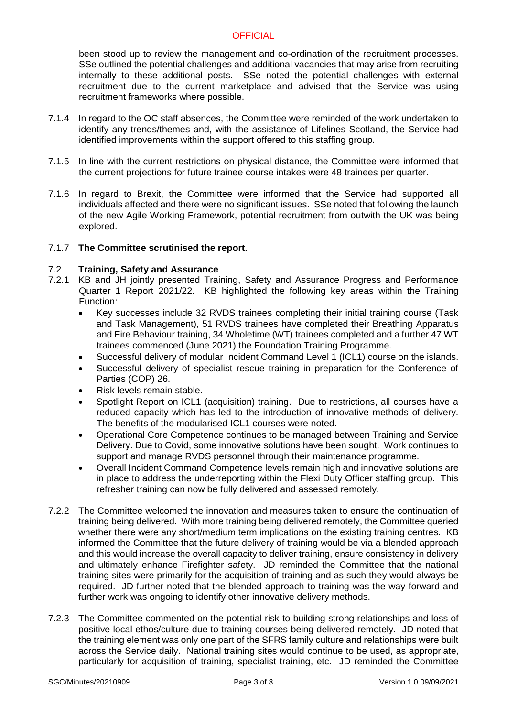been stood up to review the management and co-ordination of the recruitment processes. SSe outlined the potential challenges and additional vacancies that may arise from recruiting internally to these additional posts. SSe noted the potential challenges with external recruitment due to the current marketplace and advised that the Service was using recruitment frameworks where possible.

- 7.1.4 In regard to the OC staff absences, the Committee were reminded of the work undertaken to identify any trends/themes and, with the assistance of Lifelines Scotland, the Service had identified improvements within the support offered to this staffing group.
- 7.1.5 In line with the current restrictions on physical distance, the Committee were informed that the current projections for future trainee course intakes were 48 trainees per quarter.
- 7.1.6 In regard to Brexit, the Committee were informed that the Service had supported all individuals affected and there were no significant issues. SSe noted that following the launch of the new Agile Working Framework, potential recruitment from outwith the UK was being explored.

#### 7.1.7 **The Committee scrutinised the report.**

#### 7.2 **Training, Safety and Assurance**

- 7.2.1 KB and JH jointly presented Training, Safety and Assurance Progress and Performance Quarter 1 Report 2021/22. KB highlighted the following key areas within the Training Function:
	- Key successes include 32 RVDS trainees completing their initial training course (Task and Task Management), 51 RVDS trainees have completed their Breathing Apparatus and Fire Behaviour training, 34 Wholetime (WT) trainees completed and a further 47 WT trainees commenced (June 2021) the Foundation Training Programme.
	- Successful delivery of modular Incident Command Level 1 (ICL1) course on the islands.
	- Successful delivery of specialist rescue training in preparation for the Conference of Parties (COP) 26.
	- Risk levels remain stable.
	- Spotlight Report on ICL1 (acquisition) training. Due to restrictions, all courses have a reduced capacity which has led to the introduction of innovative methods of delivery. The benefits of the modularised ICL1 courses were noted.
	- Operational Core Competence continues to be managed between Training and Service Delivery. Due to Covid, some innovative solutions have been sought. Work continues to support and manage RVDS personnel through their maintenance programme.
	- Overall Incident Command Competence levels remain high and innovative solutions are in place to address the underreporting within the Flexi Duty Officer staffing group. This refresher training can now be fully delivered and assessed remotely.
- 7.2.2 The Committee welcomed the innovation and measures taken to ensure the continuation of training being delivered. With more training being delivered remotely, the Committee queried whether there were any short/medium term implications on the existing training centres. KB informed the Committee that the future delivery of training would be via a blended approach and this would increase the overall capacity to deliver training, ensure consistency in delivery and ultimately enhance Firefighter safety. JD reminded the Committee that the national training sites were primarily for the acquisition of training and as such they would always be required. JD further noted that the blended approach to training was the way forward and further work was ongoing to identify other innovative delivery methods.
- 7.2.3 The Committee commented on the potential risk to building strong relationships and loss of positive local ethos/culture due to training courses being delivered remotely. JD noted that the training element was only one part of the SFRS family culture and relationships were built across the Service daily. National training sites would continue to be used, as appropriate, particularly for acquisition of training, specialist training, etc. JD reminded the Committee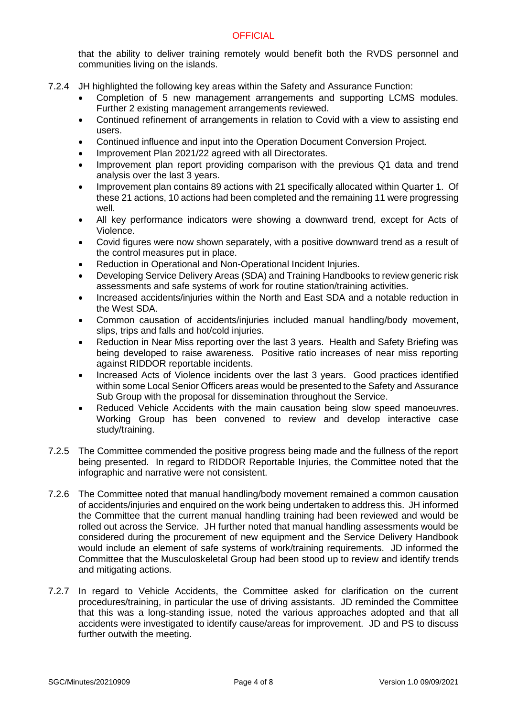that the ability to deliver training remotely would benefit both the RVDS personnel and communities living on the islands.

- 7.2.4 JH highlighted the following key areas within the Safety and Assurance Function:
	- Completion of 5 new management arrangements and supporting LCMS modules. Further 2 existing management arrangements reviewed.
	- Continued refinement of arrangements in relation to Covid with a view to assisting end users.
	- Continued influence and input into the Operation Document Conversion Project.
	- Improvement Plan 2021/22 agreed with all Directorates.
	- Improvement plan report providing comparison with the previous Q1 data and trend analysis over the last 3 years.
	- Improvement plan contains 89 actions with 21 specifically allocated within Quarter 1. Of these 21 actions, 10 actions had been completed and the remaining 11 were progressing well.
	- All key performance indicators were showing a downward trend, except for Acts of Violence.
	- Covid figures were now shown separately, with a positive downward trend as a result of the control measures put in place.
	- Reduction in Operational and Non-Operational Incident Injuries.
	- Developing Service Delivery Areas (SDA) and Training Handbooks to review generic risk assessments and safe systems of work for routine station/training activities.
	- Increased accidents/injuries within the North and East SDA and a notable reduction in the West SDA.
	- Common causation of accidents/injuries included manual handling/body movement, slips, trips and falls and hot/cold injuries.
	- Reduction in Near Miss reporting over the last 3 years. Health and Safety Briefing was being developed to raise awareness. Positive ratio increases of near miss reporting against RIDDOR reportable incidents.
	- Increased Acts of Violence incidents over the last 3 years. Good practices identified within some Local Senior Officers areas would be presented to the Safety and Assurance Sub Group with the proposal for dissemination throughout the Service.
	- Reduced Vehicle Accidents with the main causation being slow speed manoeuvres. Working Group has been convened to review and develop interactive case study/training.
- 7.2.5 The Committee commended the positive progress being made and the fullness of the report being presented. In regard to RIDDOR Reportable Injuries, the Committee noted that the infographic and narrative were not consistent.
- 7.2.6 The Committee noted that manual handling/body movement remained a common causation of accidents/injuries and enquired on the work being undertaken to address this. JH informed the Committee that the current manual handling training had been reviewed and would be rolled out across the Service. JH further noted that manual handling assessments would be considered during the procurement of new equipment and the Service Delivery Handbook would include an element of safe systems of work/training requirements. JD informed the Committee that the Musculoskeletal Group had been stood up to review and identify trends and mitigating actions.
- 7.2.7 In regard to Vehicle Accidents, the Committee asked for clarification on the current procedures/training, in particular the use of driving assistants. JD reminded the Committee that this was a long-standing issue, noted the various approaches adopted and that all accidents were investigated to identify cause/areas for improvement. JD and PS to discuss further outwith the meeting.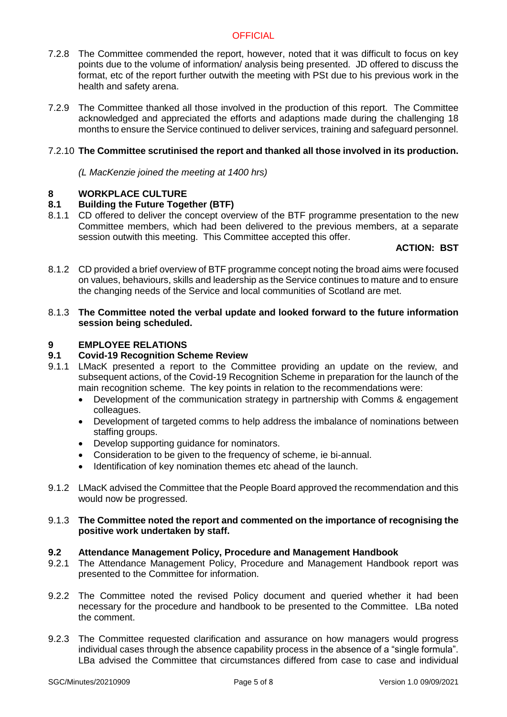- 7.2.8 The Committee commended the report, however, noted that it was difficult to focus on key points due to the volume of information/ analysis being presented. JD offered to discuss the format, etc of the report further outwith the meeting with PSt due to his previous work in the health and safety arena.
- 7.2.9 The Committee thanked all those involved in the production of this report. The Committee acknowledged and appreciated the efforts and adaptions made during the challenging 18 months to ensure the Service continued to deliver services, training and safeguard personnel.

#### 7.2.10 **The Committee scrutinised the report and thanked all those involved in its production.**

*(L MacKenzie joined the meeting at 1400 hrs)*

#### **8 WORKPLACE CULTURE**

#### **8.1 Building the Future Together (BTF)**

8.1.1 CD offered to deliver the concept overview of the BTF programme presentation to the new Committee members, which had been delivered to the previous members, at a separate session outwith this meeting. This Committee accepted this offer.

### **ACTION: BST**

8.1.2 CD provided a brief overview of BTF programme concept noting the broad aims were focused on values, behaviours, skills and leadership as the Service continues to mature and to ensure the changing needs of the Service and local communities of Scotland are met.

#### 8.1.3 **The Committee noted the verbal update and looked forward to the future information session being scheduled.**

#### **9 EMPLOYEE RELATIONS**

#### **9.1 Covid-19 Recognition Scheme Review**

- 9.1.1 LMacK presented a report to the Committee providing an update on the review, and subsequent actions, of the Covid-19 Recognition Scheme in preparation for the launch of the main recognition scheme. The key points in relation to the recommendations were:
	- Development of the communication strategy in partnership with Comms & engagement colleagues.
	- Development of targeted comms to help address the imbalance of nominations between staffing groups.
	- Develop supporting guidance for nominators.
	- Consideration to be given to the frequency of scheme, ie bi-annual.
	- Identification of key nomination themes etc ahead of the launch.
- 9.1.2 LMacK advised the Committee that the People Board approved the recommendation and this would now be progressed.

#### 9.1.3 **The Committee noted the report and commented on the importance of recognising the positive work undertaken by staff.**

#### **9.2 Attendance Management Policy, Procedure and Management Handbook**

- 9.2.1 The Attendance Management Policy, Procedure and Management Handbook report was presented to the Committee for information.
- 9.2.2 The Committee noted the revised Policy document and queried whether it had been necessary for the procedure and handbook to be presented to the Committee. LBa noted the comment.
- 9.2.3 The Committee requested clarification and assurance on how managers would progress individual cases through the absence capability process in the absence of a "single formula". LBa advised the Committee that circumstances differed from case to case and individual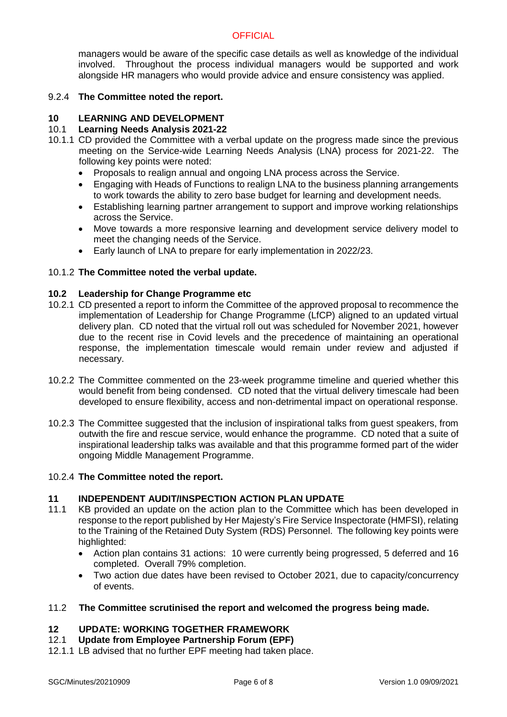managers would be aware of the specific case details as well as knowledge of the individual involved. Throughout the process individual managers would be supported and work alongside HR managers who would provide advice and ensure consistency was applied.

#### 9.2.4 **The Committee noted the report.**

# **10 LEARNING AND DEVELOPMENT**

# 10.1 **Learning Needs Analysis 2021-22**

- 10.1.1 CD provided the Committee with a verbal update on the progress made since the previous meeting on the Service-wide Learning Needs Analysis (LNA) process for 2021-22. The following key points were noted:
	- Proposals to realign annual and ongoing LNA process across the Service.
	- Engaging with Heads of Functions to realign LNA to the business planning arrangements to work towards the ability to zero base budget for learning and development needs.
	- Establishing learning partner arrangement to support and improve working relationships across the Service.
	- Move towards a more responsive learning and development service delivery model to meet the changing needs of the Service.
	- Early launch of LNA to prepare for early implementation in 2022/23.

#### 10.1.2 **The Committee noted the verbal update.**

#### **10.2 Leadership for Change Programme etc**

- 10.2.1 CD presented a report to inform the Committee of the approved proposal to recommence the implementation of Leadership for Change Programme (LfCP) aligned to an updated virtual delivery plan. CD noted that the virtual roll out was scheduled for November 2021, however due to the recent rise in Covid levels and the precedence of maintaining an operational response, the implementation timescale would remain under review and adjusted if necessary.
- 10.2.2 The Committee commented on the 23-week programme timeline and queried whether this would benefit from being condensed. CD noted that the virtual delivery timescale had been developed to ensure flexibility, access and non-detrimental impact on operational response.
- 10.2.3 The Committee suggested that the inclusion of inspirational talks from guest speakers, from outwith the fire and rescue service, would enhance the programme. CD noted that a suite of inspirational leadership talks was available and that this programme formed part of the wider ongoing Middle Management Programme.

#### 10.2.4 **The Committee noted the report.**

#### **11 INDEPENDENT AUDIT/INSPECTION ACTION PLAN UPDATE**

- 11.1 KB provided an update on the action plan to the Committee which has been developed in response to the report published by Her Majesty's Fire Service Inspectorate (HMFSI), relating to the Training of the Retained Duty System (RDS) Personnel. The following key points were highlighted:
	- Action plan contains 31 actions: 10 were currently being progressed, 5 deferred and 16 completed. Overall 79% completion.
	- Two action due dates have been revised to October 2021, due to capacity/concurrency of events.

#### 11.2 **The Committee scrutinised the report and welcomed the progress being made.**

# **12 UPDATE: WORKING TOGETHER FRAMEWORK**

- 12.1 **Update from Employee Partnership Forum (EPF)**
- 12.1.1 LB advised that no further EPF meeting had taken place.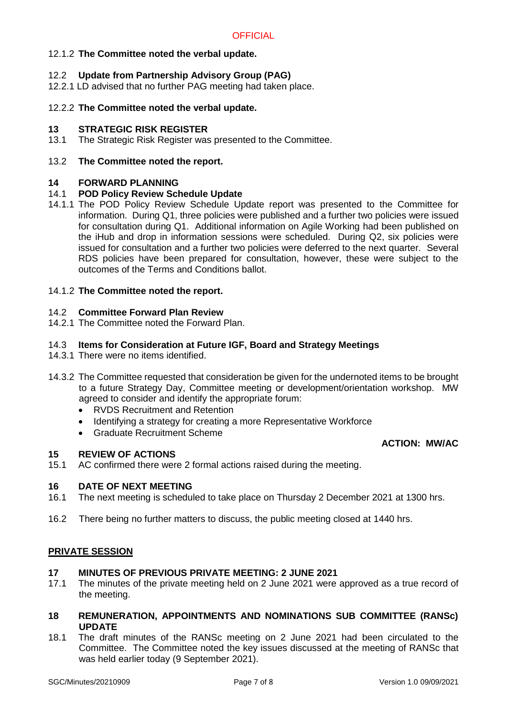## 12.1.2 **The Committee noted the verbal update.**

### 12.2 **Update from Partnership Advisory Group (PAG)**

12.2.1 LD advised that no further PAG meeting had taken place.

#### 12.2.2 **The Committee noted the verbal update.**

#### **13 STRATEGIC RISK REGISTER**

13.1 The Strategic Risk Register was presented to the Committee.

#### 13.2 **The Committee noted the report.**

#### **14 FORWARD PLANNING**

#### 14.1 **POD Policy Review Schedule Update**

14.1.1 The POD Policy Review Schedule Update report was presented to the Committee for information. During Q1, three policies were published and a further two policies were issued for consultation during Q1. Additional information on Agile Working had been published on the iHub and drop in information sessions were scheduled. During Q2, six policies were issued for consultation and a further two policies were deferred to the next quarter. Several RDS policies have been prepared for consultation, however, these were subject to the outcomes of the Terms and Conditions ballot.

#### 14.1.2 **The Committee noted the report.**

## 14.2 **Committee Forward Plan Review**

14.2.1 The Committee noted the Forward Plan.

#### 14.3 **Items for Consideration at Future IGF, Board and Strategy Meetings**

- 14.3.1 There were no items identified.
- 14.3.2 The Committee requested that consideration be given for the undernoted items to be brought to a future Strategy Day, Committee meeting or development/orientation workshop. MW agreed to consider and identify the appropriate forum:
	- RVDS Recruitment and Retention
	- Identifying a strategy for creating a more Representative Workforce
	- Graduate Recruitment Scheme

#### **ACTION: MW/AC**

#### **15 REVIEW OF ACTIONS**

15.1 AC confirmed there were 2 formal actions raised during the meeting.

#### **16 DATE OF NEXT MEETING**

- 16.1 The next meeting is scheduled to take place on Thursday 2 December 2021 at 1300 hrs.
- 16.2 There being no further matters to discuss, the public meeting closed at 1440 hrs.

#### **PRIVATE SESSION**

#### **17 MINUTES OF PREVIOUS PRIVATE MEETING: 2 JUNE 2021**

- 17.1 The minutes of the private meeting held on 2 June 2021 were approved as a true record of the meeting.
- **18 REMUNERATION, APPOINTMENTS AND NOMINATIONS SUB COMMITTEE (RANSc) UPDATE**
- 18.1 The draft minutes of the RANSc meeting on 2 June 2021 had been circulated to the Committee. The Committee noted the key issues discussed at the meeting of RANSc that was held earlier today (9 September 2021).